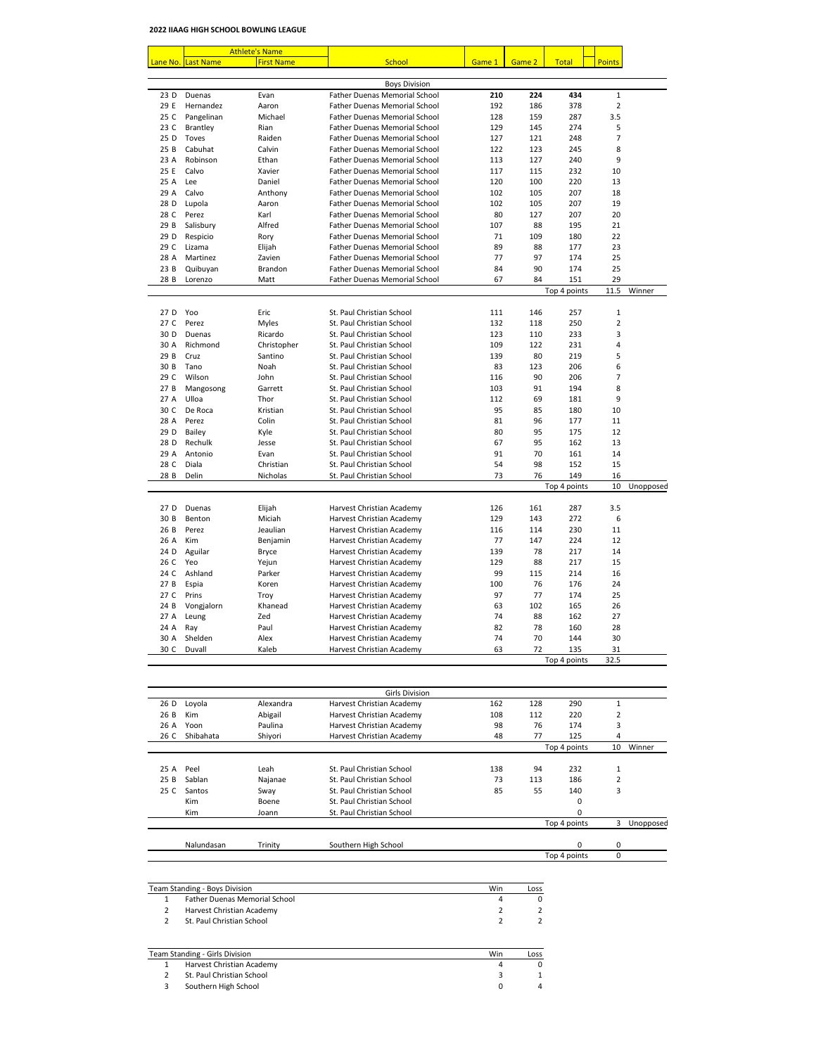|              |                     | <b>Athlete's Name</b> |                                                                              |            |            |              |                                |           |
|--------------|---------------------|-----------------------|------------------------------------------------------------------------------|------------|------------|--------------|--------------------------------|-----------|
| Lane No.     | Last Name           | <b>First Name</b>     | School                                                                       | Game 1     | Game 2     | <b>Total</b> | <b>Points</b>                  |           |
|              |                     |                       |                                                                              |            |            |              |                                |           |
|              |                     |                       | <b>Boys Division</b>                                                         |            |            | 434          |                                |           |
| 23 D<br>29 E | Duenas<br>Hernandez | Evan<br>Aaron         | <b>Father Duenas Memorial School</b><br><b>Father Duenas Memorial School</b> | 210<br>192 | 224<br>186 | 378          | $\mathbf{1}$<br>$\overline{2}$ |           |
| 25 C         | Pangelinan          | Michael               | <b>Father Duenas Memorial School</b>                                         | 128        | 159        | 287          | 3.5                            |           |
| 23 C         | <b>Brantley</b>     | Rian                  | <b>Father Duenas Memorial School</b>                                         | 129        | 145        | 274          | 5                              |           |
| 25 D         | Toves               | Raiden                | <b>Father Duenas Memorial School</b>                                         | 127        | 121        | 248          | 7                              |           |
| 25B          | Cabuhat             | Calvin                | <b>Father Duenas Memorial School</b>                                         | 122        | 123        | 245          | 8                              |           |
| 23 A         | Robinson            | Ethan                 | <b>Father Duenas Memorial School</b>                                         | 113        | 127        | 240          | 9                              |           |
| 25 E         | Calvo               | Xavier                | <b>Father Duenas Memorial School</b>                                         | 117        | 115        | 232          | 10                             |           |
| 25 A         | Lee                 | Daniel                | <b>Father Duenas Memorial School</b>                                         | 120        | 100        | 220          | 13                             |           |
| 29 A         | Calvo               | Anthony               | <b>Father Duenas Memorial School</b>                                         | 102        | 105        | 207          | 18                             |           |
| 28 D         | Lupola              | Aaron                 | <b>Father Duenas Memorial School</b>                                         | 102        | 105        | 207          | 19                             |           |
| 28 C         | Perez               | Karl                  | <b>Father Duenas Memorial School</b>                                         | 80         | 127        | 207          | 20                             |           |
| 29 B         | Salisbury           | Alfred                | <b>Father Duenas Memorial School</b>                                         | 107        | 88         | 195          | 21                             |           |
| 29 D         | Respicio            | Rory                  | <b>Father Duenas Memorial School</b>                                         | 71         | 109        | 180          | 22                             |           |
| 29 C         | Lizama              | Elijah                | <b>Father Duenas Memorial School</b>                                         | 89         | 88         | 177          | 23                             |           |
| 28 A         | Martinez            | Zavien                | <b>Father Duenas Memorial School</b>                                         | 77         | 97         | 174          | 25                             |           |
| 23B          | Quibuyan            | <b>Brandon</b>        | <b>Father Duenas Memorial School</b>                                         | 84         | 90         | 174          | 25                             |           |
| 28 B         | Lorenzo             | Matt                  | <b>Father Duenas Memorial School</b>                                         | 67         | 84         | 151          | 29                             |           |
|              |                     |                       |                                                                              |            |            | Top 4 points | 11.5                           | Winner    |
|              |                     |                       |                                                                              |            |            |              |                                |           |
| 27 D         | Yoo                 | Eric                  | St. Paul Christian School                                                    | 111        | 146        | 257          | $\mathbf{1}$                   |           |
| 27 C         | Perez               | <b>Myles</b>          | St. Paul Christian School                                                    | 132        | 118        | 250          | 2                              |           |
| 30 D         | <b>Duenas</b>       | Ricardo               | St. Paul Christian School                                                    | 123        | 110        | 233          | 3                              |           |
| 30 A         | Richmond            | Christopher           | St. Paul Christian School                                                    | 109        | 122        | 231          | 4                              |           |
| 29 B         | Cruz                | Santino               | St. Paul Christian School                                                    | 139        | 80         | 219          | 5                              |           |
| 30 B         | Tano                | Noah                  | St. Paul Christian School                                                    | 83         | 123        | 206          | 6                              |           |
| 29 C         | Wilson              | John                  | St. Paul Christian School                                                    | 116        | 90         | 206          | 7                              |           |
| 27B          | Mangosong           | Garrett               | St. Paul Christian School                                                    | 103        | 91         | 194          | 8                              |           |
| 27 A         | Ulloa               | Thor                  | St. Paul Christian School                                                    | 112        | 69         | 181          | 9                              |           |
| 30 C         | De Roca             | Kristian              | St. Paul Christian School                                                    | 95         | 85         | 180          | 10                             |           |
| 28 A         | Perez               | Colin                 | St. Paul Christian School                                                    | 81         | 96         | 177          | 11                             |           |
| 29 D         | Bailey              | Kyle                  | St. Paul Christian School                                                    | 80         | 95         | 175          | 12                             |           |
| 28 D         | Rechulk             | Jesse                 | St. Paul Christian School                                                    | 67         | 95         | 162          | 13                             |           |
| 29 A         | Antonio             | Evan                  | St. Paul Christian School                                                    | 91         | 70         | 161          | 14                             |           |
| 28 C         | Diala               | Christian             | St. Paul Christian School                                                    | 54         | 98         | 152          | 15                             |           |
| 28 B         | Delin               | Nicholas              | St. Paul Christian School                                                    | 73         | 76         | 149          | 16                             |           |
|              |                     |                       |                                                                              |            |            | Top 4 points | 10                             | Unopposed |
|              |                     |                       |                                                                              |            |            |              |                                |           |
| 27 D         | Duenas              | Elijah                | Harvest Christian Academy                                                    | 126        | 161        | 287          | 3.5                            |           |
| 30 B         | Benton              | Miciah                | Harvest Christian Academy                                                    | 129        | 143        | 272          | 6                              |           |
| 26 B         | Perez               | Jeaulian              | Harvest Christian Academy                                                    | 116        | 114        | 230          | 11                             |           |
| 26 A         | Kim                 | Benjamin              | Harvest Christian Academy                                                    | 77         | 147        | 224          | 12                             |           |
| 24 D         | Aguilar             | <b>Bryce</b>          | Harvest Christian Academy                                                    | 139        | 78         | 217          | 14                             |           |
| 26 C         | Yeo                 | Yejun                 | Harvest Christian Academy                                                    | 129        | 88         | 217          | 15                             |           |
| 24 C         | Ashland             | Parker                | Harvest Christian Academy                                                    | 99         | 115        | 214          | 16                             |           |
| 27B          | Espia               | Koren                 | Harvest Christian Academy                                                    | 100        | 76         | 176          | 24                             |           |
| 27 C         | Prins               | Troy                  | Harvest Christian Academy                                                    | 97         | 77         | 174          | 25                             |           |
| 24 B         | Vongjalorn          | Khanead               | Harvest Christian Academy                                                    | 63         | 102        | 165          | 26                             |           |
| 27 A         | Leung               | Zed                   | Harvest Christian Academy                                                    | 74         | 88         | 162          | 27                             |           |
| 24 A         | Ray                 | Paul                  | Harvest Christian Academy                                                    | 82         | 78         | 160          | 28                             |           |
| 30 A         | Shelden             | Alex                  | Harvest Christian Academy                                                    | 74         | 70         | 144          | 30                             |           |
| 30 C         | Duvall              | Kaleb                 | Harvest Christian Academy                                                    | 63         | 72         | 135          | 31                             |           |
|              |                     |                       |                                                                              |            |            | Top 4 points | 32.5                           |           |

|      |            |              | יוטוטויט טוווט            |     |     |              |                |           |
|------|------------|--------------|---------------------------|-----|-----|--------------|----------------|-----------|
| 26 D | Loyola     | Alexandra    | Harvest Christian Academy | 162 | 128 | 290          | 1              |           |
| 26 B | Kim        | Abigail      | Harvest Christian Academy | 108 | 112 | 220          | 2              |           |
| 26 A | Yoon       | Paulina      | Harvest Christian Academy | 98  | 76  | 174          | 3              |           |
| 26 C | Shibahata  | Shiyori      | Harvest Christian Academy | 48  | 77  | 125          | 4              |           |
|      |            |              |                           |     |     | Top 4 points | 10             | Winner    |
|      |            |              |                           |     |     |              |                |           |
| 25 A | Peel       | Leah         | St. Paul Christian School | 138 | 94  | 232          | 1              |           |
| 25 B | Sablan     | Najanae      | St. Paul Christian School | 73  | 113 | 186          | $\overline{2}$ |           |
| 25 C | Santos     | Sway         | St. Paul Christian School | 85  | 55  | 140          | 3              |           |
|      | <b>Kim</b> | <b>Boene</b> | St. Paul Christian School |     |     | 0            |                |           |
|      | Kim        | Joann        | St. Paul Christian School |     |     | 0            |                |           |
|      |            |              |                           |     |     | Top 4 points | 3              | Unopposed |
|      | Nalundasan | Trinity      | Southern High School      |     |     | 0            | 0              |           |
|      |            |              |                           |     |     | Top 4 points | 0              |           |

| Team Standing - Boys Division<br>Win |                                      |  |  |
|--------------------------------------|--------------------------------------|--|--|
|                                      | <b>Father Duenas Memorial School</b> |  |  |
|                                      | Harvest Christian Academy            |  |  |
|                                      | St. Paul Christian School            |  |  |

| Team Standing - Girls Division<br>Win |                           |  |   |
|---------------------------------------|---------------------------|--|---|
|                                       | Harvest Christian Academy |  |   |
|                                       | St. Paul Christian School |  |   |
|                                       | Southern High School      |  | 4 |